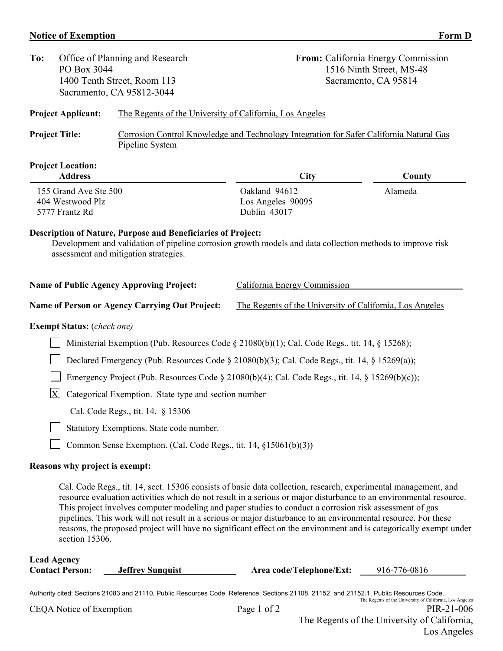## **Notice of Exemption** Form D

| To:                                                                                                                                                                                                                                                                                                                                                                                                                                                                                                                                                                                                        | PO Box 3044                                                                                         | Office of Planning and Research<br>1400 Tenth Street, Room 113<br>Sacramento, CA 95812-3044                                                                                                                                |                                                          | From: California Energy Commission<br>1516 Ninth Street, MS-48<br>Sacramento, CA 95814 |  |
|------------------------------------------------------------------------------------------------------------------------------------------------------------------------------------------------------------------------------------------------------------------------------------------------------------------------------------------------------------------------------------------------------------------------------------------------------------------------------------------------------------------------------------------------------------------------------------------------------------|-----------------------------------------------------------------------------------------------------|----------------------------------------------------------------------------------------------------------------------------------------------------------------------------------------------------------------------------|----------------------------------------------------------|----------------------------------------------------------------------------------------|--|
|                                                                                                                                                                                                                                                                                                                                                                                                                                                                                                                                                                                                            | <b>Project Applicant:</b>                                                                           | The Regents of the University of California, Los Angeles                                                                                                                                                                   |                                                          |                                                                                        |  |
| <b>Project Title:</b><br>Pipeline System                                                                                                                                                                                                                                                                                                                                                                                                                                                                                                                                                                   |                                                                                                     | Corrosion Control Knowledge and Technology Integration for Safer California Natural Gas                                                                                                                                    |                                                          |                                                                                        |  |
|                                                                                                                                                                                                                                                                                                                                                                                                                                                                                                                                                                                                            | <b>Project Location:</b><br><b>Address</b>                                                          |                                                                                                                                                                                                                            | City                                                     | County                                                                                 |  |
| 155 Grand Ave Ste 500<br>404 Westwood Plz<br>5777 Frantz Rd                                                                                                                                                                                                                                                                                                                                                                                                                                                                                                                                                |                                                                                                     |                                                                                                                                                                                                                            | Oakland 94612<br>Los Angeles 90095<br>Dublin 43017       | Alameda                                                                                |  |
|                                                                                                                                                                                                                                                                                                                                                                                                                                                                                                                                                                                                            |                                                                                                     | <b>Description of Nature, Purpose and Beneficiaries of Project:</b><br>Development and validation of pipeline corrosion growth models and data collection methods to improve risk<br>assessment and mitigation strategies. |                                                          |                                                                                        |  |
|                                                                                                                                                                                                                                                                                                                                                                                                                                                                                                                                                                                                            |                                                                                                     | <b>Name of Public Agency Approving Project:</b>                                                                                                                                                                            | California Energy Commission                             |                                                                                        |  |
| Name of Person or Agency Carrying Out Project:                                                                                                                                                                                                                                                                                                                                                                                                                                                                                                                                                             |                                                                                                     |                                                                                                                                                                                                                            | The Regents of the University of California, Los Angeles |                                                                                        |  |
|                                                                                                                                                                                                                                                                                                                                                                                                                                                                                                                                                                                                            | <b>Exempt Status:</b> (check one)                                                                   |                                                                                                                                                                                                                            |                                                          |                                                                                        |  |
|                                                                                                                                                                                                                                                                                                                                                                                                                                                                                                                                                                                                            | Ministerial Exemption (Pub. Resources Code § 21080(b)(1); Cal. Code Regs., tit. 14, § 15268);       |                                                                                                                                                                                                                            |                                                          |                                                                                        |  |
|                                                                                                                                                                                                                                                                                                                                                                                                                                                                                                                                                                                                            | Declared Emergency (Pub. Resources Code $\S$ 21080(b)(3); Cal. Code Regs., tit. 14, $\S$ 15269(a)); |                                                                                                                                                                                                                            |                                                          |                                                                                        |  |
|                                                                                                                                                                                                                                                                                                                                                                                                                                                                                                                                                                                                            |                                                                                                     | Emergency Project (Pub. Resources Code § 21080(b)(4); Cal. Code Regs., tit. 14, § 15269(b)(c));                                                                                                                            |                                                          |                                                                                        |  |
| $\mathbf X$<br>Categorical Exemption. State type and section number                                                                                                                                                                                                                                                                                                                                                                                                                                                                                                                                        |                                                                                                     |                                                                                                                                                                                                                            |                                                          |                                                                                        |  |
|                                                                                                                                                                                                                                                                                                                                                                                                                                                                                                                                                                                                            | Cal. Code Regs., tit. 14, § 15306                                                                   |                                                                                                                                                                                                                            |                                                          |                                                                                        |  |
| Statutory Exemptions. State code number.                                                                                                                                                                                                                                                                                                                                                                                                                                                                                                                                                                   |                                                                                                     |                                                                                                                                                                                                                            |                                                          |                                                                                        |  |
|                                                                                                                                                                                                                                                                                                                                                                                                                                                                                                                                                                                                            | Common Sense Exemption. (Cal. Code Regs., tit. 14, §15061(b)(3))                                    |                                                                                                                                                                                                                            |                                                          |                                                                                        |  |
|                                                                                                                                                                                                                                                                                                                                                                                                                                                                                                                                                                                                            | Reasons why project is exempt:                                                                      |                                                                                                                                                                                                                            |                                                          |                                                                                        |  |
| Cal. Code Regs., tit. 14, sect. 15306 consists of basic data collection, research, experimental management, and<br>resource evaluation activities which do not result in a serious or major disturbance to an environmental resource.<br>This project involves computer modeling and paper studies to conduct a corrosion risk assessment of gas<br>pipelines. This work will not result in a serious or major disturbance to an environmental resource. For these<br>reasons, the proposed project will have no significant effect on the environment and is categorically exempt under<br>section 15306. |                                                                                                     |                                                                                                                                                                                                                            |                                                          |                                                                                        |  |
| <b>Lead Agency</b><br><b>Contact Person:</b>                                                                                                                                                                                                                                                                                                                                                                                                                                                                                                                                                               |                                                                                                     | <b>Jeffrey Sunquist</b>                                                                                                                                                                                                    | Area code/Telephone/Ext:                                 | 916-776-0816                                                                           |  |

Authority cited: Sections 21083 and 21110, Public Resources Code. Reference: Sections 21108, 21152, and 21152.1, Public Resources Code.<br>The Regents of the University of California, Los Angeles